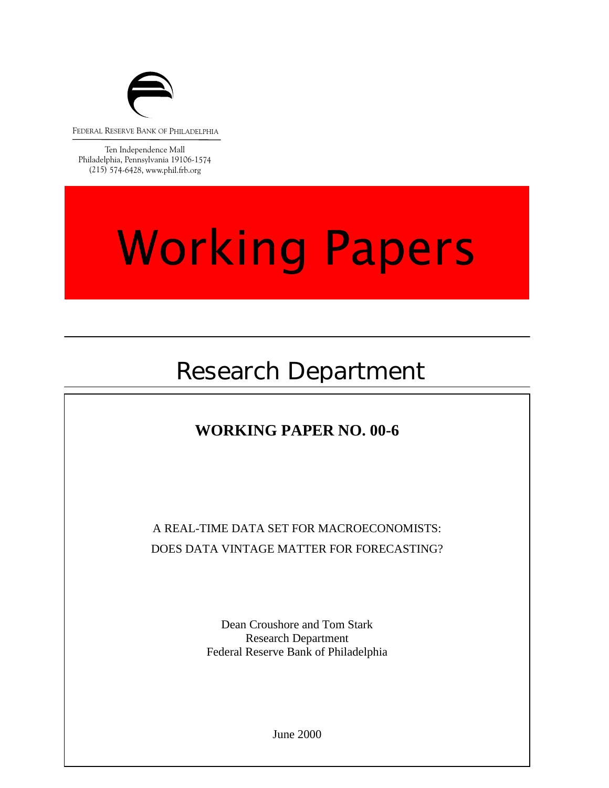

FEDERAL RESERVE BANK OF PHILADELPHIA

Ten Independence Mall Philadelphia, Pennsylvania 19106-1574 (215) 574-6428, www.phil.frb.org

# **Working Papers**

# Research Department

## **WORKING PAPER NO. 00-6**

A REAL-TIME DATA SET FOR MACROECONOMISTS: DOES DATA VINTAGE MATTER FOR FORECASTING?

> Dean Croushore and Tom Stark Research Department Federal Reserve Bank of Philadelphia

> > June 2000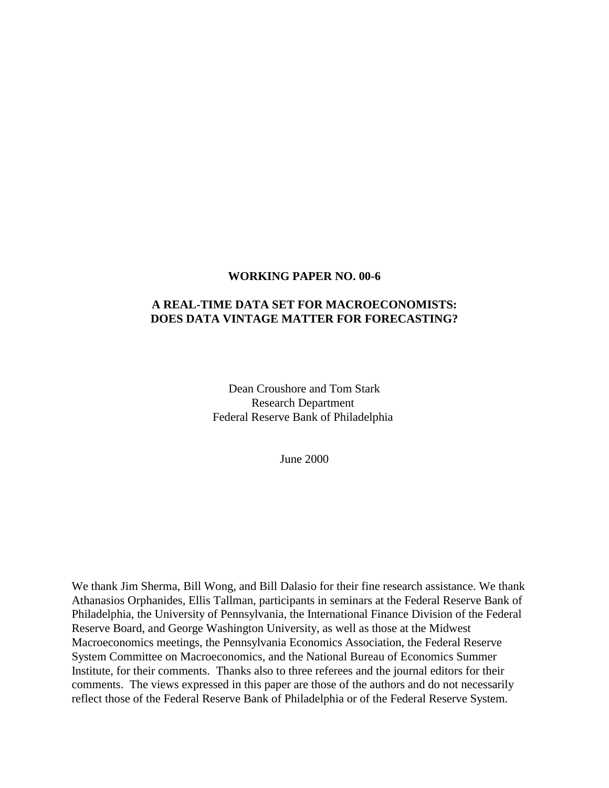#### **WORKING PAPER NO. 00-6**

#### **A REAL-TIME DATA SET FOR MACROECONOMISTS: DOES DATA VINTAGE MATTER FOR FORECASTING?**

Dean Croushore and Tom Stark Research Department Federal Reserve Bank of Philadelphia

June 2000

We thank Jim Sherma, Bill Wong, and Bill Dalasio for their fine research assistance. We thank Athanasios Orphanides, Ellis Tallman, participants in seminars at the Federal Reserve Bank of Philadelphia, the University of Pennsylvania, the International Finance Division of the Federal Reserve Board, and George Washington University, as well as those at the Midwest Macroeconomics meetings, the Pennsylvania Economics Association, the Federal Reserve System Committee on Macroeconomics, and the National Bureau of Economics Summer Institute, for their comments. Thanks also to three referees and the journal editors for their comments. The views expressed in this paper are those of the authors and do not necessarily reflect those of the Federal Reserve Bank of Philadelphia or of the Federal Reserve System.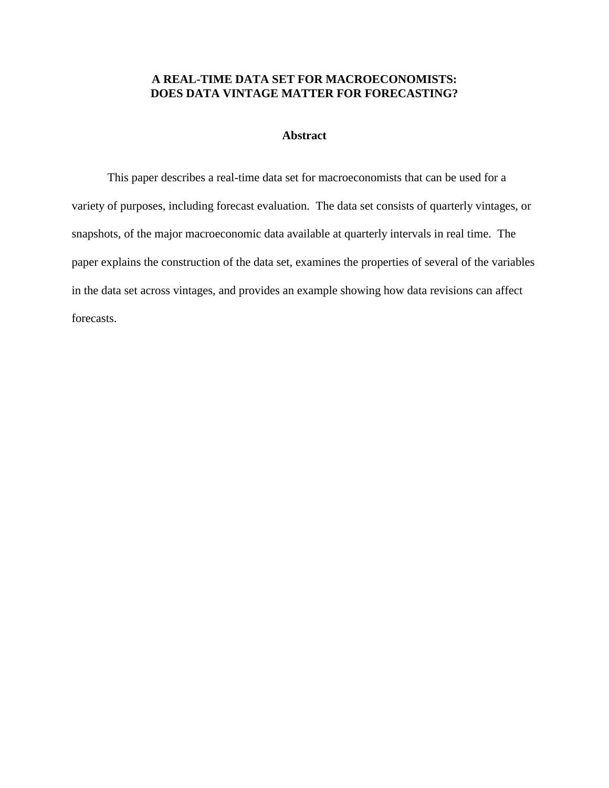#### **A REAL-TIME DATA SET FOR MACROECONOMISTS: DOES DATA VINTAGE MATTER FOR FORECASTING?**

#### **Abstract**

This paper describes a real-time data set for macroeconomists that can be used for a variety of purposes, including forecast evaluation. The data set consists of quarterly vintages, or snapshots, of the major macroeconomic data available at quarterly intervals in real time. The paper explains the construction of the data set, examines the properties of several of the variables in the data set across vintages, and provides an example showing how data revisions can affect forecasts.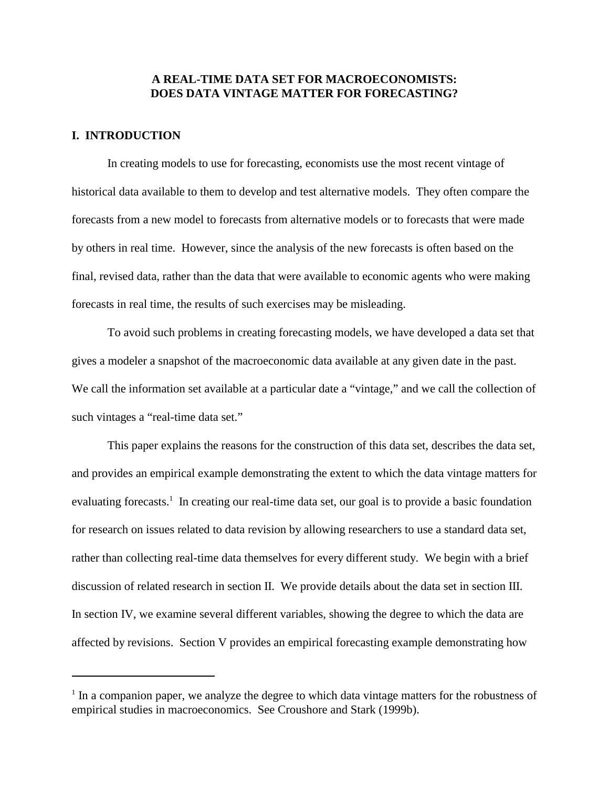#### **A REAL-TIME DATA SET FOR MACROECONOMISTS: DOES DATA VINTAGE MATTER FOR FORECASTING?**

#### **I. INTRODUCTION**

In creating models to use for forecasting, economists use the most recent vintage of historical data available to them to develop and test alternative models. They often compare the forecasts from a new model to forecasts from alternative models or to forecasts that were made by others in real time. However, since the analysis of the new forecasts is often based on the final, revised data, rather than the data that were available to economic agents who were making forecasts in real time, the results of such exercises may be misleading.

To avoid such problems in creating forecasting models, we have developed a data set that gives a modeler a snapshot of the macroeconomic data available at any given date in the past. We call the information set available at a particular date a "vintage," and we call the collection of such vintages a "real-time data set."

This paper explains the reasons for the construction of this data set, describes the data set, and provides an empirical example demonstrating the extent to which the data vintage matters for evaluating forecasts.<sup>1</sup> In creating our real-time data set, our goal is to provide a basic foundation for research on issues related to data revision by allowing researchers to use a standard data set, rather than collecting real-time data themselves for every different study. We begin with a brief discussion of related research in section II. We provide details about the data set in section III. In section IV, we examine several different variables, showing the degree to which the data are affected by revisions. Section V provides an empirical forecasting example demonstrating how

<sup>&</sup>lt;sup>1</sup> In a companion paper, we analyze the degree to which data vintage matters for the robustness of empirical studies in macroeconomics. See Croushore and Stark (1999b).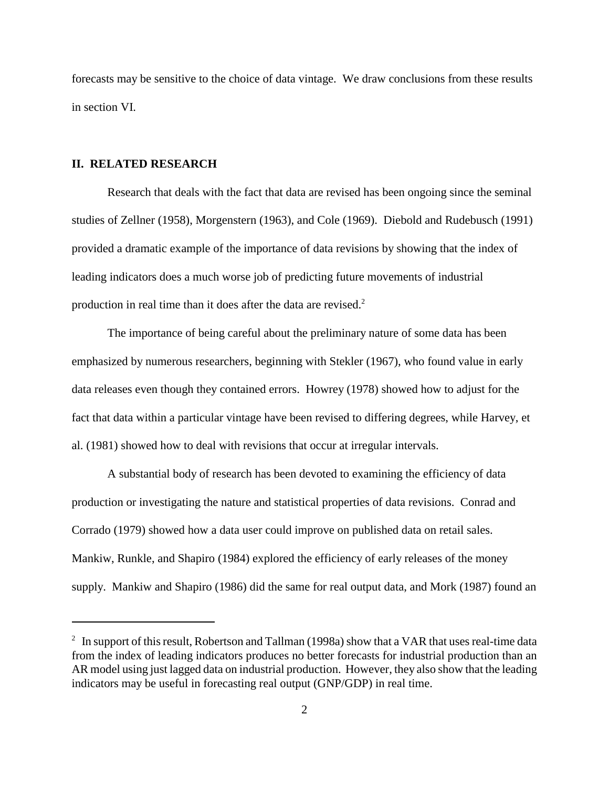forecasts may be sensitive to the choice of data vintage. We draw conclusions from these results in section VI.

#### **II. RELATED RESEARCH**

Research that deals with the fact that data are revised has been ongoing since the seminal studies of Zellner (1958), Morgenstern (1963), and Cole (1969). Diebold and Rudebusch (1991) provided a dramatic example of the importance of data revisions by showing that the index of leading indicators does a much worse job of predicting future movements of industrial production in real time than it does after the data are revised.<sup>2</sup>

The importance of being careful about the preliminary nature of some data has been emphasized by numerous researchers, beginning with Stekler (1967), who found value in early data releases even though they contained errors. Howrey (1978) showed how to adjust for the fact that data within a particular vintage have been revised to differing degrees, while Harvey, et al. (1981) showed how to deal with revisions that occur at irregular intervals.

A substantial body of research has been devoted to examining the efficiency of data production or investigating the nature and statistical properties of data revisions. Conrad and Corrado (1979) showed how a data user could improve on published data on retail sales. Mankiw, Runkle, and Shapiro (1984) explored the efficiency of early releases of the money supply. Mankiw and Shapiro (1986) did the same for real output data, and Mork (1987) found an

<sup>&</sup>lt;sup>2</sup> In support of this result, Robertson and Tallman (1998a) show that a VAR that uses real-time data from the index of leading indicators produces no better forecasts for industrial production than an AR model using just lagged data on industrial production. However, they also show that the leading indicators may be useful in forecasting real output (GNP/GDP) in real time.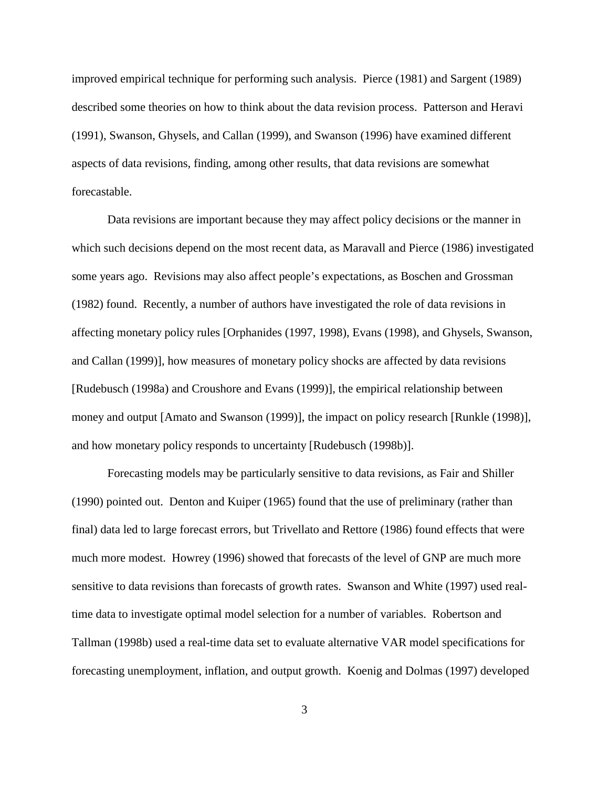improved empirical technique for performing such analysis. Pierce (1981) and Sargent (1989) described some theories on how to think about the data revision process. Patterson and Heravi (1991), Swanson, Ghysels, and Callan (1999), and Swanson (1996) have examined different aspects of data revisions, finding, among other results, that data revisions are somewhat forecastable.

Data revisions are important because they may affect policy decisions or the manner in which such decisions depend on the most recent data, as Maravall and Pierce (1986) investigated some years ago. Revisions may also affect people's expectations, as Boschen and Grossman (1982) found. Recently, a number of authors have investigated the role of data revisions in affecting monetary policy rules [Orphanides (1997, 1998), Evans (1998), and Ghysels, Swanson, and Callan (1999)], how measures of monetary policy shocks are affected by data revisions [Rudebusch (1998a) and Croushore and Evans (1999)], the empirical relationship between money and output [Amato and Swanson (1999)], the impact on policy research [Runkle (1998)], and how monetary policy responds to uncertainty [Rudebusch (1998b)].

Forecasting models may be particularly sensitive to data revisions, as Fair and Shiller (1990) pointed out. Denton and Kuiper (1965) found that the use of preliminary (rather than final) data led to large forecast errors, but Trivellato and Rettore (1986) found effects that were much more modest. Howrey (1996) showed that forecasts of the level of GNP are much more sensitive to data revisions than forecasts of growth rates. Swanson and White (1997) used realtime data to investigate optimal model selection for a number of variables. Robertson and Tallman (1998b) used a real-time data set to evaluate alternative VAR model specifications for forecasting unemployment, inflation, and output growth. Koenig and Dolmas (1997) developed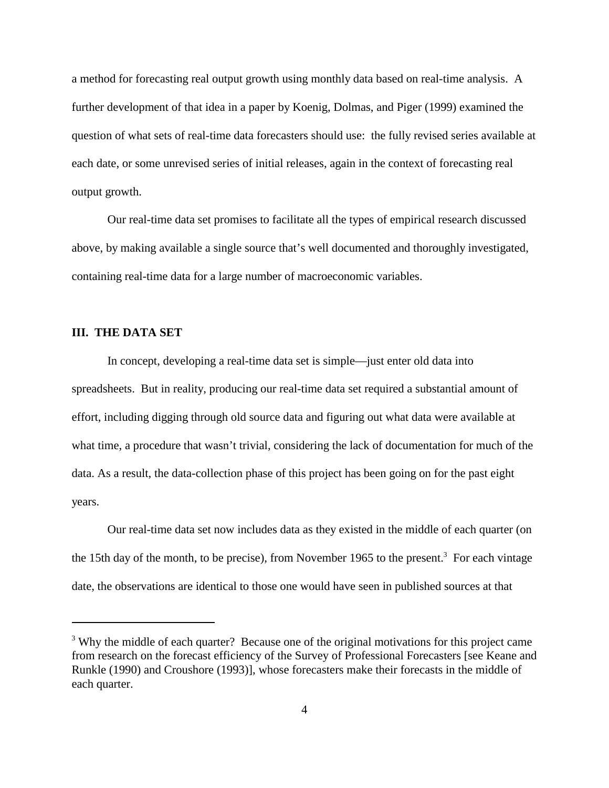a method for forecasting real output growth using monthly data based on real-time analysis. A further development of that idea in a paper by Koenig, Dolmas, and Piger (1999) examined the question of what sets of real-time data forecasters should use: the fully revised series available at each date, or some unrevised series of initial releases, again in the context of forecasting real output growth.

Our real-time data set promises to facilitate all the types of empirical research discussed above, by making available a single source that's well documented and thoroughly investigated, containing real-time data for a large number of macroeconomic variables.

#### **III. THE DATA SET**

In concept, developing a real-time data set is simple—just enter old data into spreadsheets. But in reality, producing our real-time data set required a substantial amount of effort, including digging through old source data and figuring out what data were available at what time, a procedure that wasn't trivial, considering the lack of documentation for much of the data. As a result, the data-collection phase of this project has been going on for the past eight years.

Our real-time data set now includes data as they existed in the middle of each quarter (on the 15th day of the month, to be precise), from November 1965 to the present.<sup>3</sup> For each vintage date, the observations are identical to those one would have seen in published sources at that

<sup>&</sup>lt;sup>3</sup> Why the middle of each quarter? Because one of the original motivations for this project came from research on the forecast efficiency of the Survey of Professional Forecasters [see Keane and Runkle (1990) and Croushore (1993)], whose forecasters make their forecasts in the middle of each quarter.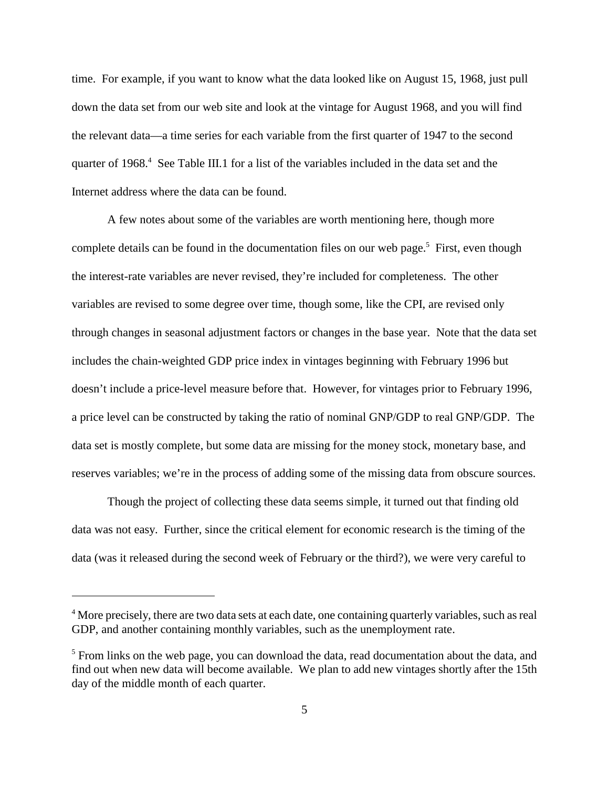time. For example, if you want to know what the data looked like on August 15, 1968, just pull down the data set from our web site and look at the vintage for August 1968, and you will find the relevant data—a time series for each variable from the first quarter of 1947 to the second quarter of 1968.<sup>4</sup> See [Table III.1 f](#page-19-0)or a list of the variables included in the data set and the Internet address where the data can be found.

A few notes about some of the variables are worth mentioning here, though more complete details can be found in the documentation files on our web page.<sup>5</sup> First, even though the interest-rate variables are never revised, they're included for completeness. The other variables are revised to some degree over time, though some, like the CPI, are revised only through changes in seasonal adjustment factors or changes in the base year. Note that the data set includes the chain-weighted GDP price index in vintages beginning with February 1996 but doesn't include a price-level measure before that. However, for vintages prior to February 1996, a price level can be constructed by taking the ratio of nominal GNP/GDP to real GNP/GDP. The data set is mostly complete, but some data are missing for the money stock, monetary base, and reserves variables; we're in the process of adding some of the missing data from obscure sources.

Though the project of collecting these data seems simple, it turned out that finding old data was not easy. Further, since the critical element for economic research is the timing of the data (was it released during the second week of February or the third?), we were very careful to

<sup>&</sup>lt;sup>4</sup> More precisely, there are two data sets at each date, one containing quarterly variables, such as real GDP, and another containing monthly variables, such as the unemployment rate.

<sup>&</sup>lt;sup>5</sup> From links on the web page, you can download the data, read documentation about the data, and find out when new data will become available. We plan to add new vintages shortly after the 15th day of the middle month of each quarter.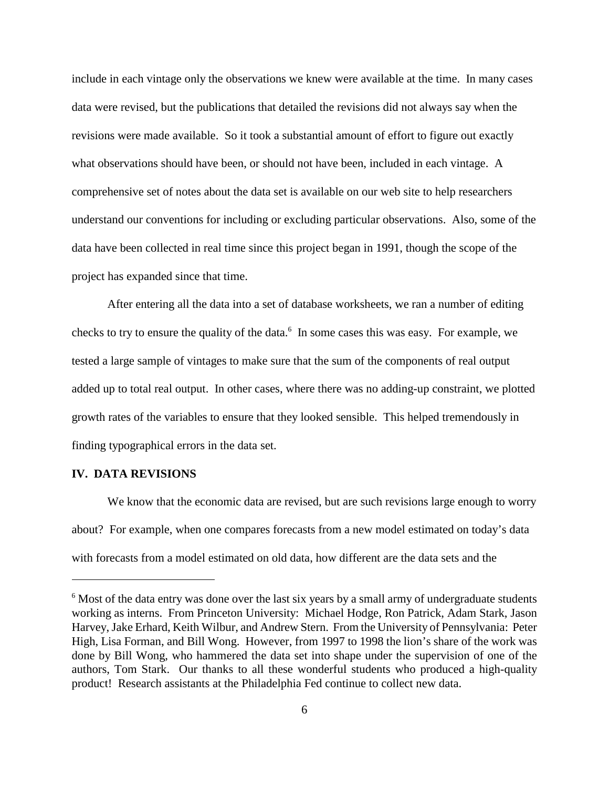include in each vintage only the observations we knew were available at the time. In many cases data were revised, but the publications that detailed the revisions did not always say when the revisions were made available. So it took a substantial amount of effort to figure out exactly what observations should have been, or should not have been, included in each vintage. A comprehensive set of notes about the data set is available on our web site to help researchers understand our conventions for including or excluding particular observations. Also, some of the data have been collected in real time since this project began in 1991, though the scope of the project has expanded since that time.

After entering all the data into a set of database worksheets, we ran a number of editing checks to try to ensure the quality of the data.<sup>6</sup> In some cases this was easy. For example, we tested a large sample of vintages to make sure that the sum of the components of real output added up to total real output. In other cases, where there was no adding-up constraint, we plotted growth rates of the variables to ensure that they looked sensible. This helped tremendously in finding typographical errors in the data set.

#### **IV. DATA REVISIONS**

We know that the economic data are revised, but are such revisions large enough to worry about? For example, when one compares forecasts from a new model estimated on today's data with forecasts from a model estimated on old data, how different are the data sets and the

<sup>&</sup>lt;sup>6</sup> Most of the data entry was done over the last six years by a small army of undergraduate students working as interns. From Princeton University: Michael Hodge, Ron Patrick, Adam Stark, Jason Harvey, Jake Erhard, Keith Wilbur, and Andrew Stern. From the University of Pennsylvania: Peter High, Lisa Forman, and Bill Wong. However, from 1997 to 1998 the lion's share of the work was done by Bill Wong, who hammered the data set into shape under the supervision of one of the authors, Tom Stark. Our thanks to all these wonderful students who produced a high-quality product! Research assistants at the Philadelphia Fed continue to collect new data.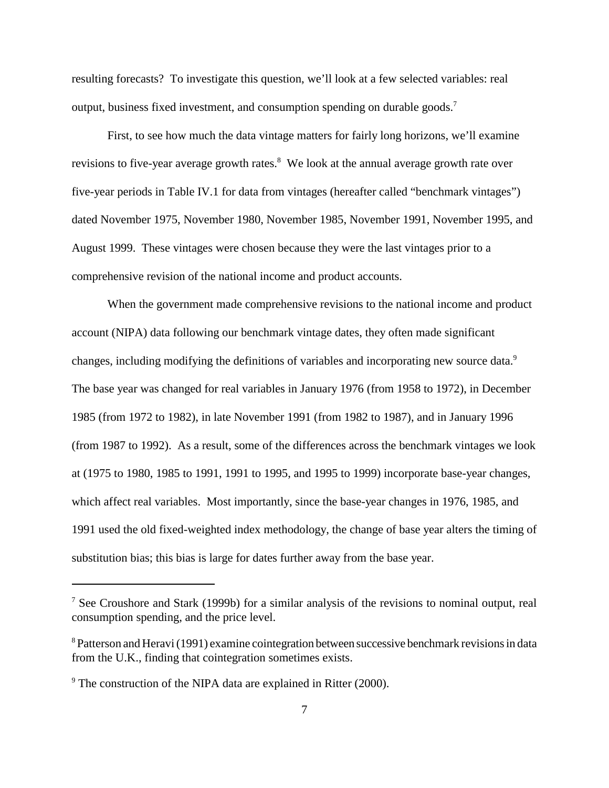resulting forecasts? To investigate this question, we'll look at a few selected variables: real output, business fixed investment, and consumption spending on durable goods.7

First, to see how much the data vintage matters for fairly long horizons, we'll examine revisions to five-year average growth rates.<sup>8</sup> We look at the annual average growth rate over five-year periods in [Table IV.1 f](#page-20-0)or data from vintages (hereafter called "benchmark vintages") dated November 1975, November 1980, November 1985, November 1991, November 1995, and August 1999. These vintages were chosen because they were the last vintages prior to a comprehensive revision of the national income and product accounts.

When the government made comprehensive revisions to the national income and product account (NIPA) data following our benchmark vintage dates, they often made significant changes, including modifying the definitions of variables and incorporating new source data.<sup>9</sup> The base year was changed for real variables in January 1976 (from 1958 to 1972), in December 1985 (from 1972 to 1982), in late November 1991 (from 1982 to 1987), and in January 1996 (from 1987 to 1992). As a result, some of the differences across the benchmark vintages we look at (1975 to 1980, 1985 to 1991, 1991 to 1995, and 1995 to 1999) incorporate base-year changes, which affect real variables. Most importantly, since the base-year changes in 1976, 1985, and 1991 used the old fixed-weighted index methodology, the change of base year alters the timing of substitution bias; this bias is large for dates further away from the base year.

<sup>&</sup>lt;sup>7</sup> See Croushore and Stark (1999b) for a similar analysis of the revisions to nominal output, real consumption spending, and the price level.

 $8$  Patterson and Heravi (1991) examine cointegration between successive benchmark revisions in data from the U.K., finding that cointegration sometimes exists.

 $9^9$  The construction of the NIPA data are explained in Ritter (2000).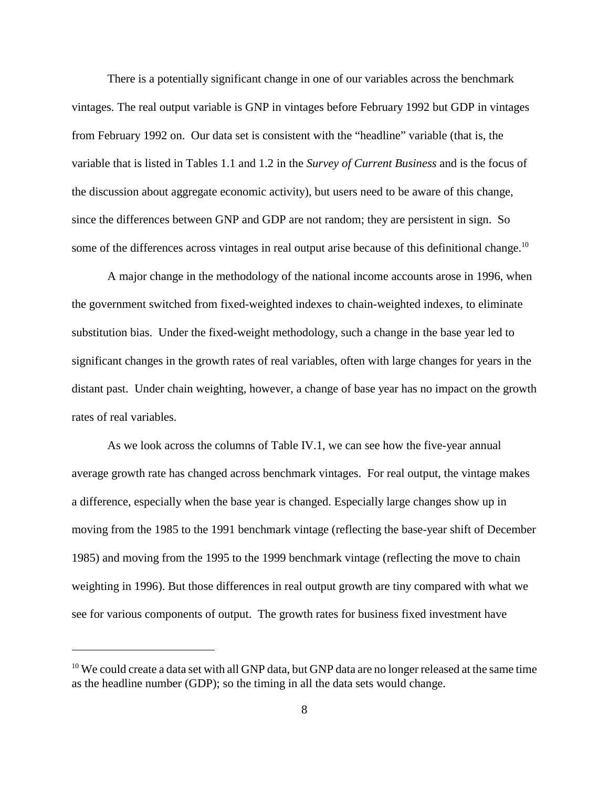There is a potentially significant change in one of our variables across the benchmark vintages. The real output variable is GNP in vintages before February 1992 but GDP in vintages from February 1992 on. Our data set is consistent with the "headline" variable (that is, the variable that is listed in Tables 1.1 and 1.2 in the *Survey of Current Business* and is the focus of the discussion about aggregate economic activity), but users need to be aware of this change, since the differences between GNP and GDP are not random; they are persistent in sign. So some of the differences across vintages in real output arise because of this definitional change.<sup>10</sup>

A major change in the methodology of the national income accounts arose in 1996, when the government switched from fixed-weighted indexes to chain-weighted indexes, to eliminate substitution bias. Under the fixed-weight methodology, such a change in the base year led to significant changes in the growth rates of real variables, often with large changes for years in the distant past. Under chain weighting, however, a change of base year has no impact on the growth rates of real variables.

As we look across the columns of Table IV.1, we can see how the five-year annual average growth rate has changed across benchmark vintages. For real output, the vintage makes a difference, especially when the base year is changed. Especially large changes show up in moving from the 1985 to the 1991 benchmark vintage (reflecting the base-year shift of December 1985) and moving from the 1995 to the 1999 benchmark vintage (reflecting the move to chain weighting in 1996). But those differences in real output growth are tiny compared with what we see for various components of output. The growth rates for business fixed investment have

 $10$  We could create a data set with all GNP data, but GNP data are no longer released at the same time as the headline number (GDP); so the timing in all the data sets would change.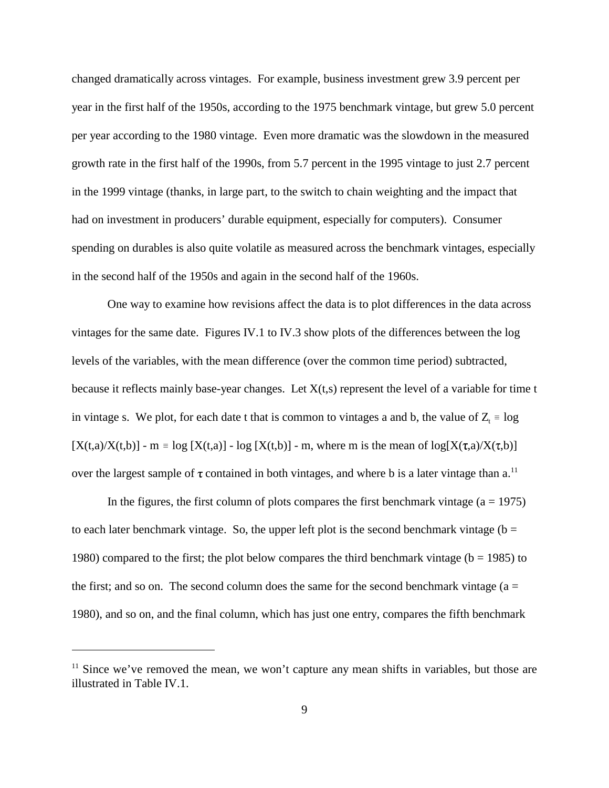changed dramatically across vintages. For example, business investment grew 3.9 percent per year in the first half of the 1950s, according to the 1975 benchmark vintage, but grew 5.0 percent per year according to the 1980 vintage. Even more dramatic was the slowdown in the measured growth rate in the first half of the 1990s, from 5.7 percent in the 1995 vintage to just 2.7 percent in the 1999 vintage (thanks, in large part, to the switch to chain weighting and the impact that had on investment in producers' durable equipment, especially for computers). Consumer spending on durables is also quite volatile as measured across the benchmark vintages, especially in the second half of the 1950s and again in the second half of the 1960s.

One way to examine how revisions affect the data is to plot differences in the data across vintages for the same date. Figures IV.1 to IV.3 show plots of the differences between the log levels of the variables, with the mean difference (over the common time period) subtracted, because it reflects mainly base-year changes. Let  $X(t,s)$  represent the level of a variable for time t in vintage s. We plot, for each date t that is common to vintages a and b, the value of  $Z_t = \log$  $[X(t,a)/X(t,b)]$  - m = log  $[X(t,a)]$  - log  $[X(t,b)]$  - m, where m is the mean of log[ $X(\tau,a)/X(\tau,b)$ ] over the largest sample of  $\tau$  contained in both vintages, and where b is a later vintage than a.<sup>11</sup>

In the figures, the first column of plots compares the first benchmark vintage  $(a = 1975)$ to each later benchmark vintage. So, the upper left plot is the second benchmark vintage ( $b =$ 1980) compared to the first; the plot below compares the third benchmark vintage ( $b = 1985$ ) to the first; and so on. The second column does the same for the second benchmark vintage ( $a =$ 1980), and so on, and the final column, which has just one entry, compares the fifth benchmark

 $11$  Since we've removed the mean, we won't capture any mean shifts in variables, but those are illustrated in Table IV.1.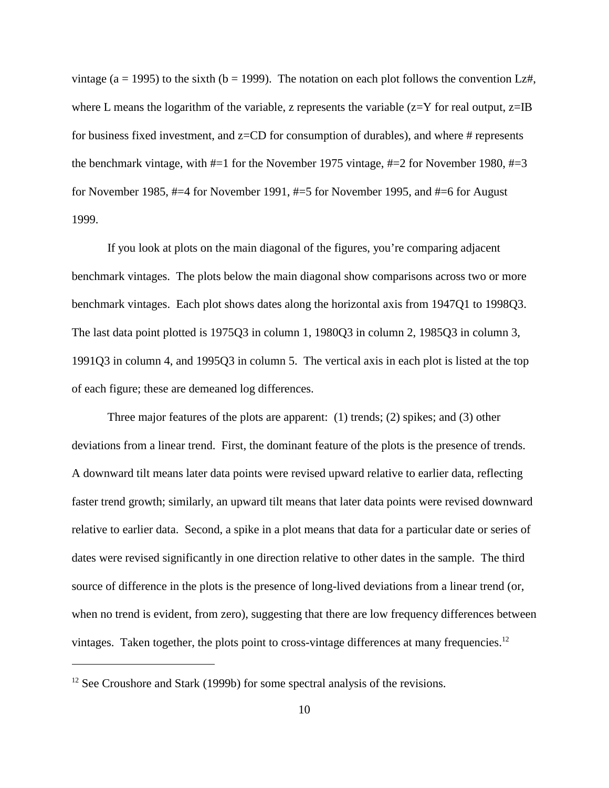vintage (a = 1995) to the sixth (b = 1999). The notation on each plot follows the convention Lz#, where L means the logarithm of the variable, z represents the variable  $(z=Y$  for real output,  $z=IB$ for business fixed investment, and  $z=CD$  for consumption of durables), and where # represents the benchmark vintage, with  $#=1$  for the November 1975 vintage,  $#=2$  for November 1980,  $#=3$ for November 1985, #=4 for November 1991, #=5 for November 1995, and #=6 for August 1999.

If you look at plots on the main diagonal of the figures, you're comparing adjacent benchmark vintages. The plots below the main diagonal show comparisons across two or more benchmark vintages. Each plot shows dates along the horizontal axis from 1947Q1 to 1998Q3. The last data point plotted is 1975Q3 in column 1, 1980Q3 in column 2, 1985Q3 in column 3, 1991Q3 in column 4, and 1995Q3 in column 5. The vertical axis in each plot is listed at the top of each figure; these are demeaned log differences.

Three major features of the plots are apparent: (1) trends; (2) spikes; and (3) other deviations from a linear trend. First, the dominant feature of the plots is the presence of trends. A downward tilt means later data points were revised upward relative to earlier data, reflecting faster trend growth; similarly, an upward tilt means that later data points were revised downward relative to earlier data. Second, a spike in a plot means that data for a particular date or series of dates were revised significantly in one direction relative to other dates in the sample. The third source of difference in the plots is the presence of long-lived deviations from a linear trend (or, when no trend is evident, from zero), suggesting that there are low frequency differences between vintages. Taken together, the plots point to cross-vintage differences at many frequencies.<sup>12</sup>

 $12$  See Croushore and Stark (1999b) for some spectral analysis of the revisions.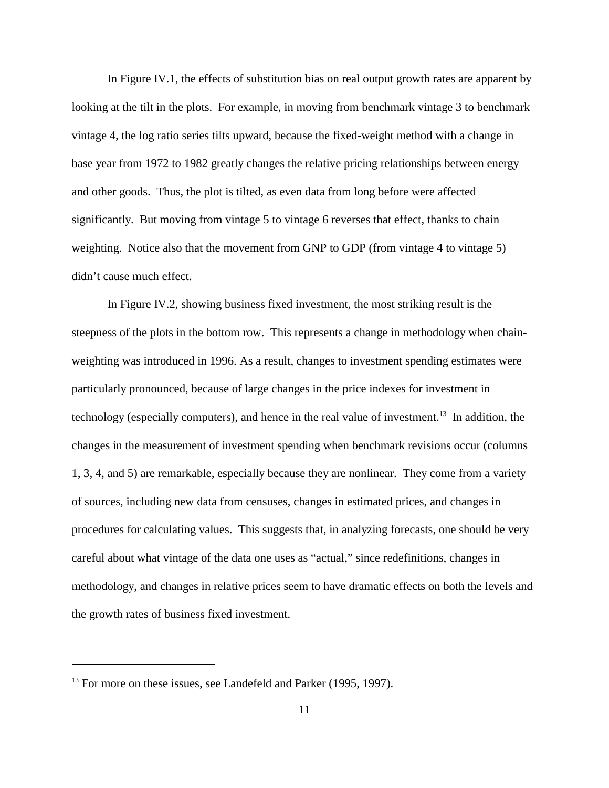In Figure IV.1, the effects of substitution bias on real output growth rates are apparent by looking at the tilt in the plots. For example, in moving from benchmark vintage 3 to benchmark vintage 4, the log ratio series tilts upward, because the fixed-weight method with a change in base year from 1972 to 1982 greatly changes the relative pricing relationships between energy and other goods. Thus, the plot is tilted, as even data from long before were affected significantly. But moving from vintage 5 to vintage 6 reverses that effect, thanks to chain weighting. Notice also that the movement from GNP to GDP (from vintage 4 to vintage 5) didn't cause much effect.

In Figure IV.2, showing business fixed investment, the most striking result is the steepness of the plots in the bottom row. This represents a change in methodology when chainweighting was introduced in 1996. As a result, changes to investment spending estimates were particularly pronounced, because of large changes in the price indexes for investment in technology (especially computers), and hence in the real value of investment.13 In addition, the changes in the measurement of investment spending when benchmark revisions occur (columns 1, 3, 4, and 5) are remarkable, especially because they are nonlinear. They come from a variety of sources, including new data from censuses, changes in estimated prices, and changes in procedures for calculating values. This suggests that, in analyzing forecasts, one should be very careful about what vintage of the data one uses as "actual," since redefinitions, changes in methodology, and changes in relative prices seem to have dramatic effects on both the levels and the growth rates of business fixed investment.

<sup>&</sup>lt;sup>13</sup> For more on these issues, see Landefeld and Parker (1995, 1997).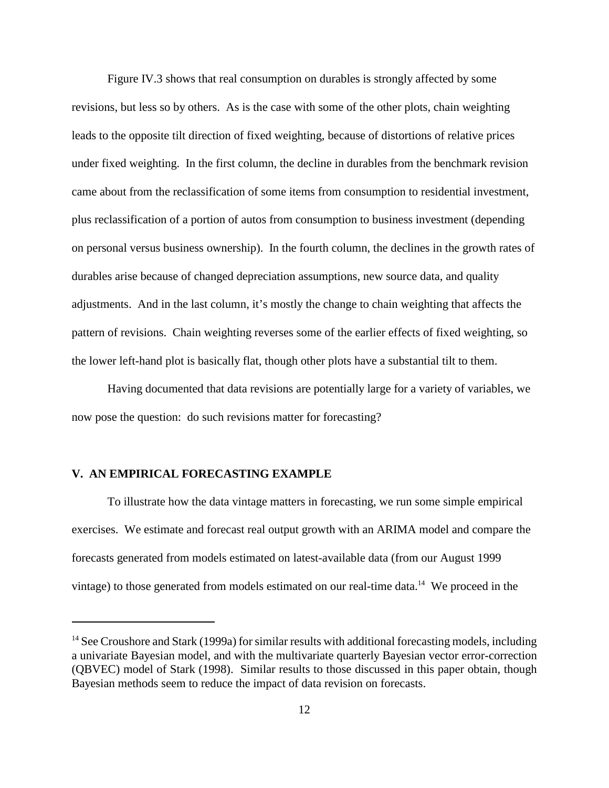Figure IV.3 shows that real consumption on durables is strongly affected by some revisions, but less so by others. As is the case with some of the other plots, chain weighting leads to the opposite tilt direction of fixed weighting, because of distortions of relative prices under fixed weighting. In the first column, the decline in durables from the benchmark revision came about from the reclassification of some items from consumption to residential investment, plus reclassification of a portion of autos from consumption to business investment (depending on personal versus business ownership). In the fourth column, the declines in the growth rates of durables arise because of changed depreciation assumptions, new source data, and quality adjustments. And in the last column, it's mostly the change to chain weighting that affects the pattern of revisions. Chain weighting reverses some of the earlier effects of fixed weighting, so the lower left-hand plot is basically flat, though other plots have a substantial tilt to them.

Having documented that data revisions are potentially large for a variety of variables, we now pose the question: do such revisions matter for forecasting?

#### **V. AN EMPIRICAL FORECASTING EXAMPLE**

To illustrate how the data vintage matters in forecasting, we run some simple empirical exercises. We estimate and forecast real output growth with an ARIMA model and compare the forecasts generated from models estimated on latest-available data (from our August 1999 vintage) to those generated from models estimated on our real-time data.<sup>14</sup> We proceed in the

<sup>&</sup>lt;sup>14</sup> See Croushore and Stark (1999a) for similar results with additional forecasting models, including a univariate Bayesian model, and with the multivariate quarterly Bayesian vector error-correction (QBVEC) model of Stark (1998). Similar results to those discussed in this paper obtain, though Bayesian methods seem to reduce the impact of data revision on forecasts.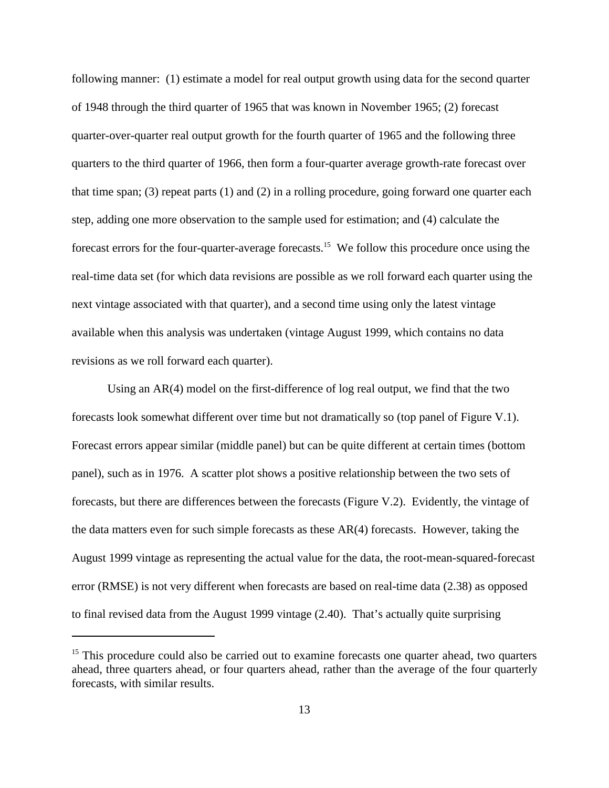following manner: (1) estimate a model for real output growth using data for the second quarter of 1948 through the third quarter of 1965 that was known in November 1965; (2) forecast quarter-over-quarter real output growth for the fourth quarter of 1965 and the following three quarters to the third quarter of 1966, then form a four-quarter average growth-rate forecast over that time span; (3) repeat parts (1) and (2) in a rolling procedure, going forward one quarter each step, adding one more observation to the sample used for estimation; and (4) calculate the forecast errors for the four-quarter-average forecasts.15 We follow this procedure once using the real-time data set (for which data revisions are possible as we roll forward each quarter using the next vintage associated with that quarter), and a second time using only the latest vintage available when this analysis was undertaken (vintage August 1999, which contains no data revisions as we roll forward each quarter).

Using an AR(4) model on the first-difference of log real output, we find that the two forecasts look somewhat different over time but not dramatically so (top panel of Figure V.1). Forecast errors appear similar (middle panel) but can be quite different at certain times (bottom panel), such as in 1976. A scatter plot shows a positive relationship between the two sets of forecasts, but there are differences between the forecasts (Figure V.2). Evidently, the vintage of the data matters even for such simple forecasts as these  $AR(4)$  forecasts. However, taking the August 1999 vintage as representing the actual value for the data, the root-mean-squared-forecast error (RMSE) is not very different when forecasts are based on real-time data (2.38) as opposed to final revised data from the August 1999 vintage (2.40). That's actually quite surprising

 $15$  This procedure could also be carried out to examine forecasts one quarter ahead, two quarters ahead, three quarters ahead, or four quarters ahead, rather than the average of the four quarterly forecasts, with similar results.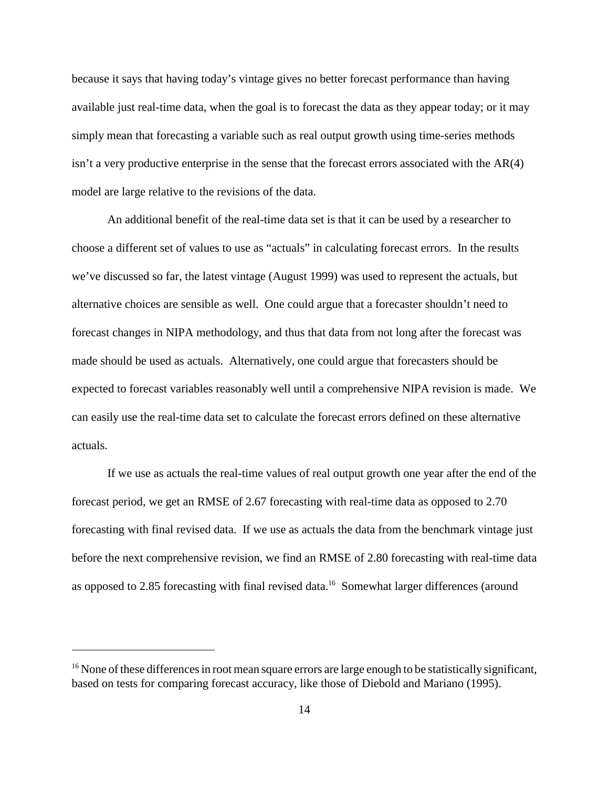because it says that having today's vintage gives no better forecast performance than having available just real-time data, when the goal is to forecast the data as they appear today; or it may simply mean that forecasting a variable such as real output growth using time-series methods isn't a very productive enterprise in the sense that the forecast errors associated with the AR(4) model are large relative to the revisions of the data.

An additional benefit of the real-time data set is that it can be used by a researcher to choose a different set of values to use as "actuals" in calculating forecast errors. In the results we've discussed so far, the latest vintage (August 1999) was used to represent the actuals, but alternative choices are sensible as well. One could argue that a forecaster shouldn't need to forecast changes in NIPA methodology, and thus that data from not long after the forecast was made should be used as actuals. Alternatively, one could argue that forecasters should be expected to forecast variables reasonably well until a comprehensive NIPA revision is made. We can easily use the real-time data set to calculate the forecast errors defined on these alternative actuals.

If we use as actuals the real-time values of real output growth one year after the end of the forecast period, we get an RMSE of 2.67 forecasting with real-time data as opposed to 2.70 forecasting with final revised data. If we use as actuals the data from the benchmark vintage just before the next comprehensive revision, we find an RMSE of 2.80 forecasting with real-time data as opposed to 2.85 forecasting with final revised data.<sup>16</sup> Somewhat larger differences (around

 $16$  None of these differences in root mean square errors are large enough to be statistically significant, based on tests for comparing forecast accuracy, like those of Diebold and Mariano (1995).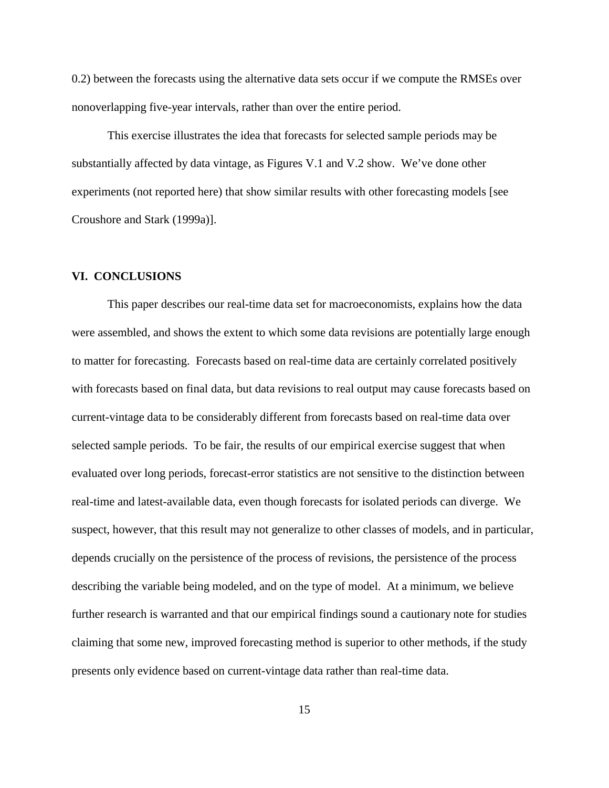0.2) between the forecasts using the alternative data sets occur if we compute the RMSEs over nonoverlapping five-year intervals, rather than over the entire period.

This exercise illustrates the idea that forecasts for selected sample periods may be substantially affected by data vintage, as Figures V.1 and V.2 show. We've done other experiments (not reported here) that show similar results with other forecasting models [see Croushore and Stark (1999a)].

#### **VI. CONCLUSIONS**

This paper describes our real-time data set for macroeconomists, explains how the data were assembled, and shows the extent to which some data revisions are potentially large enough to matter for forecasting. Forecasts based on real-time data are certainly correlated positively with forecasts based on final data, but data revisions to real output may cause forecasts based on current-vintage data to be considerably different from forecasts based on real-time data over selected sample periods. To be fair, the results of our empirical exercise suggest that when evaluated over long periods, forecast-error statistics are not sensitive to the distinction between real-time and latest-available data, even though forecasts for isolated periods can diverge. We suspect, however, that this result may not generalize to other classes of models, and in particular, depends crucially on the persistence of the process of revisions, the persistence of the process describing the variable being modeled, and on the type of model. At a minimum, we believe further research is warranted and that our empirical findings sound a cautionary note for studies claiming that some new, improved forecasting method is superior to other methods, if the study presents only evidence based on current-vintage data rather than real-time data.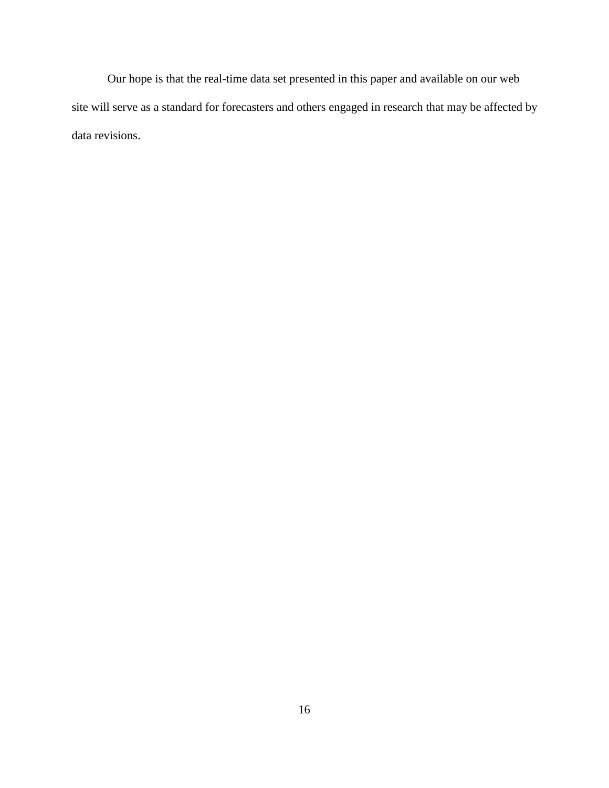Our hope is that the real-time data set presented in this paper and available on our web site will serve as a standard for forecasters and others engaged in research that may be affected by data revisions.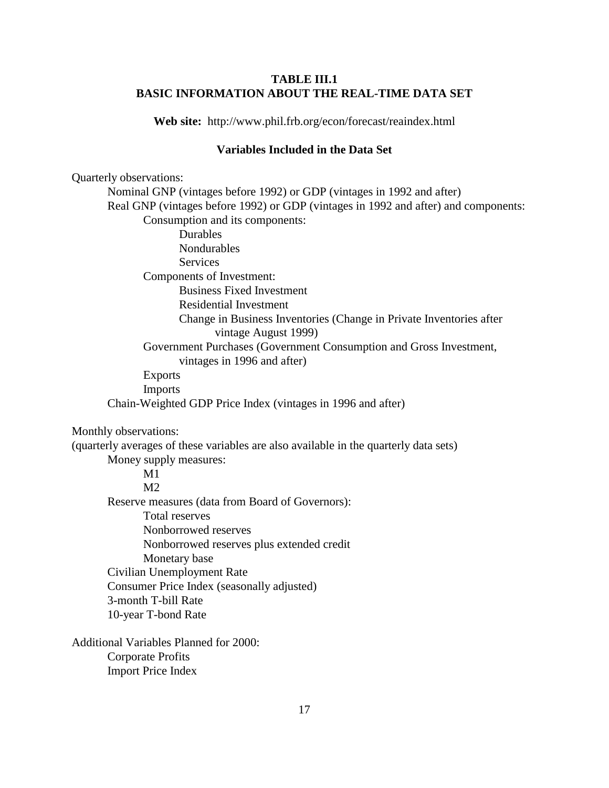#### <span id="page-19-0"></span>**TABLE III.1 BASIC INFORMATION ABOUT THE REAL-TIME DATA SET**

**Web site:** http://www.phil.frb.org/econ/forecast/reaindex.html

#### **Variables Included in the Data Set**

Quarterly observations: Nominal GNP (vintages before 1992) or GDP (vintages in 1992 and after) Real GNP (vintages before 1992) or GDP (vintages in 1992 and after) and components: Consumption and its components: Durables Nondurables Services Components of Investment: Business Fixed Investment Residential Investment Change in Business Inventories (Change in Private Inventories after vintage August 1999) Government Purchases (Government Consumption and Gross Investment, vintages in 1996 and after) Exports Imports Chain-Weighted GDP Price Index (vintages in 1996 and after) Monthly observations: (quarterly averages of these variables are also available in the quarterly data sets) Money supply measures: M1 M2 Reserve measures (data from Board of Governors): Total reserves Nonborrowed reserves Nonborrowed reserves plus extended credit Monetary base Civilian Unemployment Rate Consumer Price Index (seasonally adjusted) 3-month T-bill Rate 10-year T-bond Rate Additional Variables Planned for 2000:

Corporate Profits Import Price Index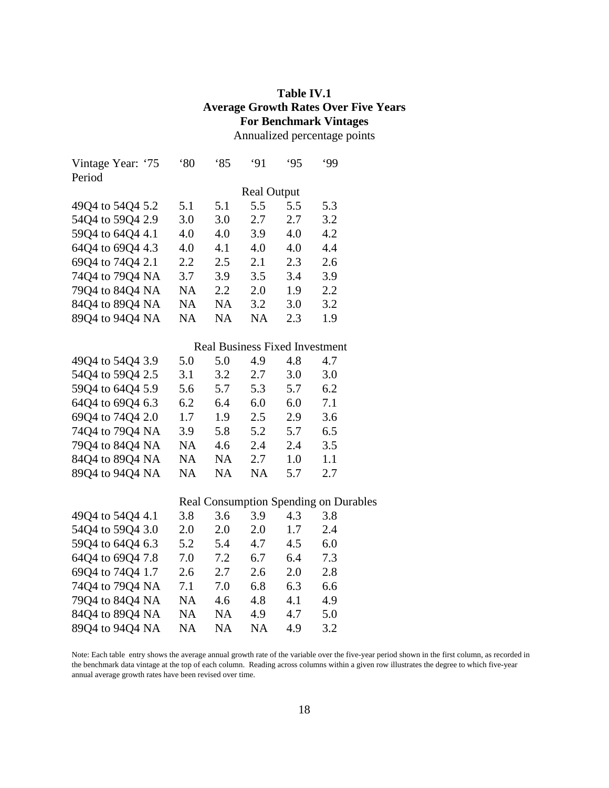### **Table IV.1 Average Growth Rates Over Five Years For Benchmark Vintages**

Annualized percentage points

<span id="page-20-0"></span>

| Vintage Year: '75 | $80^\circ$                            | 85                 | 91        | .95 | .99                                   |  |  |
|-------------------|---------------------------------------|--------------------|-----------|-----|---------------------------------------|--|--|
| Period            |                                       |                    |           |     |                                       |  |  |
|                   |                                       | <b>Real Output</b> |           |     |                                       |  |  |
| 49Q4 to 54Q4 5.2  | 5.1                                   | 5.1                | 5.5       | 5.5 | 5.3                                   |  |  |
| 54Q4 to 59Q4 2.9  | 3.0                                   | 3.0                | 2.7       | 2.7 | 3.2                                   |  |  |
| 59Q4 to 64Q4 4.1  | 4.0                                   | 4.0                | 3.9       | 4.0 | 4.2                                   |  |  |
| 64Q4 to 69Q4 4.3  | 4.0                                   | 4.1                | 4.0       | 4.0 | 4.4                                   |  |  |
| 69Q4 to 74Q4 2.1  | 2.2                                   | 2.5                | 2.1       | 2.3 | 2.6                                   |  |  |
| 74Q4 to 79Q4 NA   | 3.7                                   | 3.9                | 3.5       | 3.4 | 3.9                                   |  |  |
| 79Q4 to 84Q4 NA   | <b>NA</b>                             | $2.2^{\circ}$      | 2.0       | 1.9 | 2.2                                   |  |  |
| 84Q4 to 89Q4 NA   | NA                                    | NA                 | 3.2       | 3.0 | 3.2                                   |  |  |
| 89Q4 to 94Q4 NA   | NA                                    | <b>NA</b>          | <b>NA</b> | 2.3 | 1.9                                   |  |  |
|                   |                                       |                    |           |     |                                       |  |  |
|                   | <b>Real Business Fixed Investment</b> |                    |           |     |                                       |  |  |
| 49Q4 to 54Q4 3.9  | 5.0                                   | 5.0                | 4.9       | 4.8 | 4.7                                   |  |  |
| 54Q4 to 59Q4 2.5  | 3.1                                   | 3.2                | 2.7       | 3.0 | 3.0                                   |  |  |
| 59Q4 to 64Q4 5.9  | 5.6                                   | 5.7                | 5.3       | 5.7 | 6.2                                   |  |  |
| 64Q4 to 69Q4 6.3  | 6.2                                   | 6.4                | 6.0       | 6.0 | 7.1                                   |  |  |
| 69Q4 to 74Q4 2.0  | 1.7                                   | 1.9                | 2.5       | 2.9 | 3.6                                   |  |  |
| 74Q4 to 79Q4 NA   | 3.9                                   | 5.8                | 5.2       | 5.7 | 6.5                                   |  |  |
| 79Q4 to 84Q4 NA   | NA                                    | 4.6                | 2.4       | 2.4 | 3.5                                   |  |  |
| 84Q4 to 89Q4 NA   | <b>NA</b>                             | <b>NA</b>          | 2.7       | 1.0 | 1.1                                   |  |  |
| 89Q4 to 94Q4 NA   | <b>NA</b>                             | <b>NA</b>          | <b>NA</b> | 5.7 | 2.7                                   |  |  |
|                   |                                       |                    |           |     |                                       |  |  |
|                   |                                       |                    |           |     | Real Consumption Spending on Durables |  |  |
| 49Q4 to 54Q4 4.1  | 3.8                                   | 3.6                | 3.9       | 4.3 | 3.8                                   |  |  |
| 54Q4 to 59Q4 3.0  | 2.0                                   | 2.0                | 2.0       | 1.7 | 2.4                                   |  |  |
| 59Q4 to 64Q4 6.3  | 5.2                                   | 5.4                | 4.7       | 4.5 | $6.0\,$                               |  |  |
| 64Q4 to 69Q4 7.8  | 7.0                                   | 7.2                | 6.7       | 6.4 | 7.3                                   |  |  |
| 69Q4 to 74Q4 1.7  | 2.6                                   | 2.7                | 2.6       | 2.0 | 2.8                                   |  |  |

74Q4 to 79Q4 NA 7.1 7.0 6.8 6.3 6.6 79Q4 to 84Q4 NA NA 4.6 4.8 4.1 4.9 84Q4 to 89Q4 NA NA NA 4.9 4.7 5.0 89Q4 to 94Q4 NA NA NA NA 4.9 3.2

| Note: Each table entry shows the average annual growth rate of the variable over the five-year period shown in the first column, as recorded in |
|-------------------------------------------------------------------------------------------------------------------------------------------------|
| the benchmark data vintage at the top of each column. Reading across columns within a given row illustrates the degree to which five-year       |
| annual average growth rates have been revised over time.                                                                                        |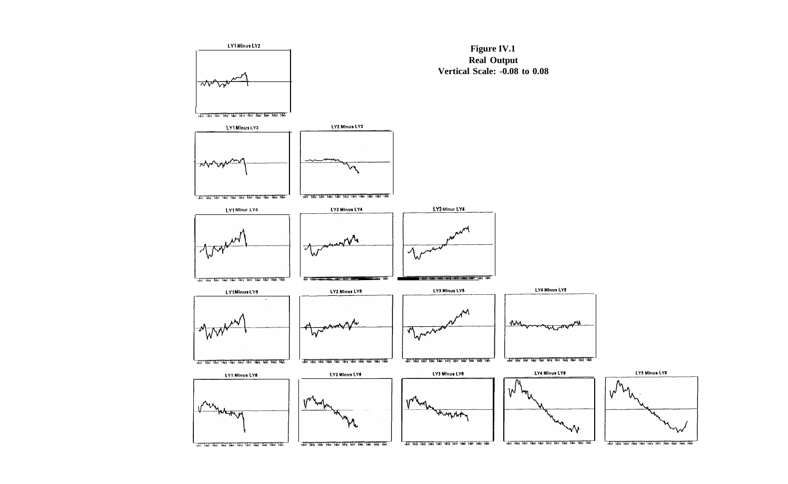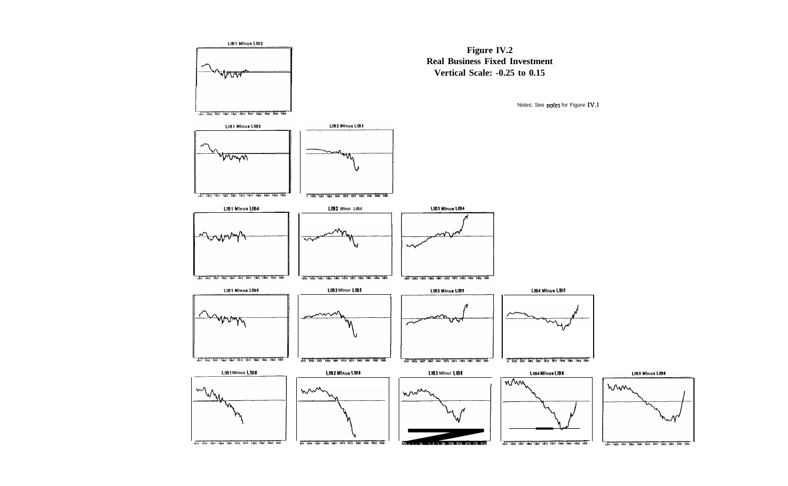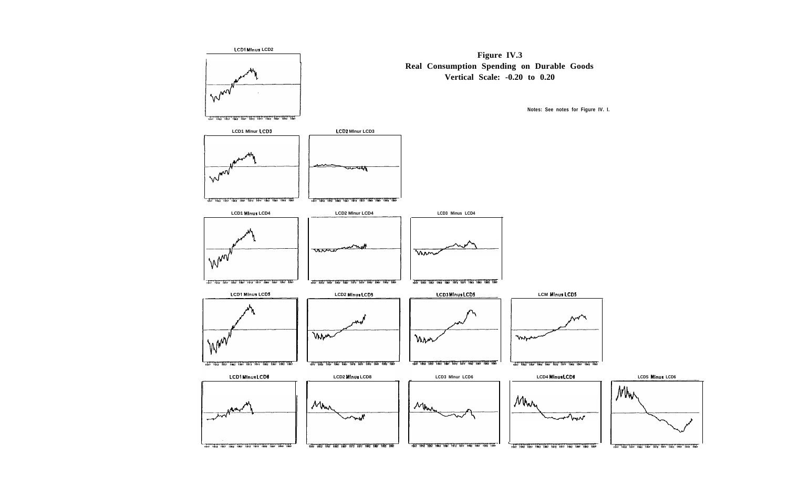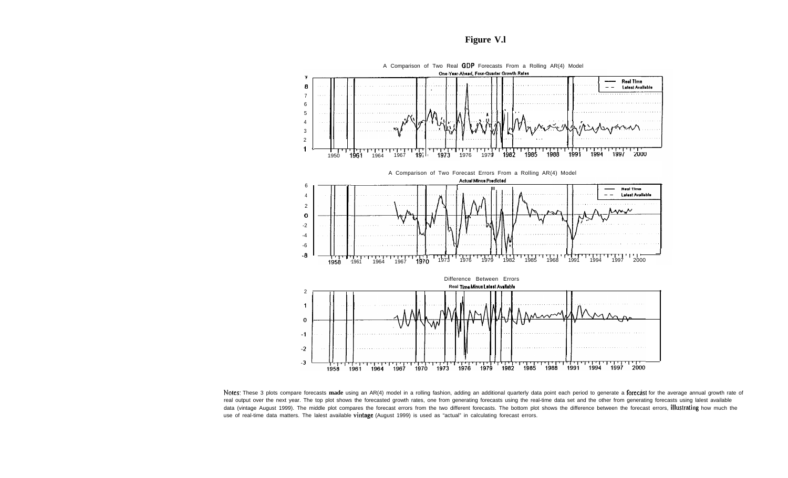**Figure V.l**



Notes: These 3 plots compare forecasts made using an AR(4) model in a rolling fashion, adding an additional quarterly data point each period to generate a forecast for the average annual growth rate of real output over the next year. The top plot shows the forecasted growth rates, one from generating forecasts using the real-time data set and the other from generating forecasts using lalest available data (vintage August 1999). The middle plot compares the forecast errors from the two different forecasts. The bottom plot shows the difference between the forecast errors, illustrating how much the use of real-time data matters. The lalest available vintage (August 1999) is used as "actual" in calculating forecast errors.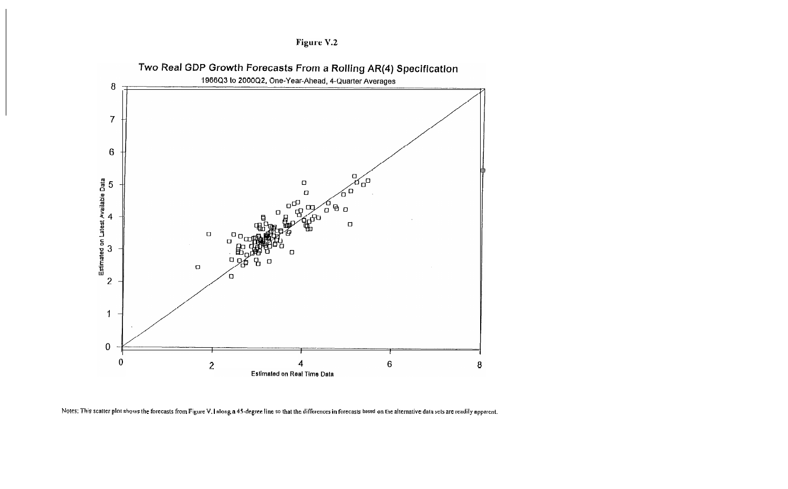Figure V.2



Two Real GDP Growth Forecasts From a Rolling AR(4) Specification

Notes: This scatter plot shows the forecasts from Figure V.1 along a 45-degree line so that the differences in forecasts based on the alternative data sets are readily apparent.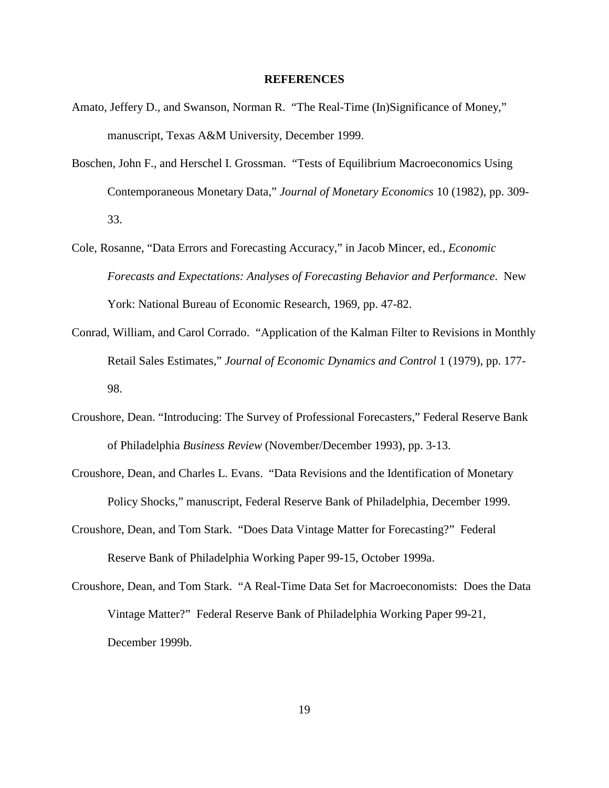#### **REFERENCES**

- Amato, Jeffery D., and Swanson, Norman R. "The Real-Time (In)Significance of Money," manuscript, Texas A&M University, December 1999.
- Boschen, John F., and Herschel I. Grossman. "Tests of Equilibrium Macroeconomics Using Contemporaneous Monetary Data," *Journal of Monetary Economics* 10 (1982), pp. 309- 33.
- Cole, Rosanne, "Data Errors and Forecasting Accuracy," in Jacob Mincer, ed., *Economic Forecasts and Expectations: Analyses of Forecasting Behavior and Performance*. New York: National Bureau of Economic Research, 1969, pp. 47-82.
- Conrad, William, and Carol Corrado. "Application of the Kalman Filter to Revisions in Monthly Retail Sales Estimates," *Journal of Economic Dynamics and Control* 1 (1979), pp. 177- 98.
- Croushore, Dean. "Introducing: The Survey of Professional Forecasters," Federal Reserve Bank of Philadelphia *Business Review* (November/December 1993), pp. 3-13.
- Croushore, Dean, and Charles L. Evans. "Data Revisions and the Identification of Monetary Policy Shocks," manuscript, Federal Reserve Bank of Philadelphia, December 1999.
- Croushore, Dean, and Tom Stark. "Does Data Vintage Matter for Forecasting?" Federal Reserve Bank of Philadelphia Working Paper 99-15, October 1999a.
- Croushore, Dean, and Tom Stark. "A Real-Time Data Set for Macroeconomists: Does the Data Vintage Matter?" Federal Reserve Bank of Philadelphia Working Paper 99-21, December 1999b.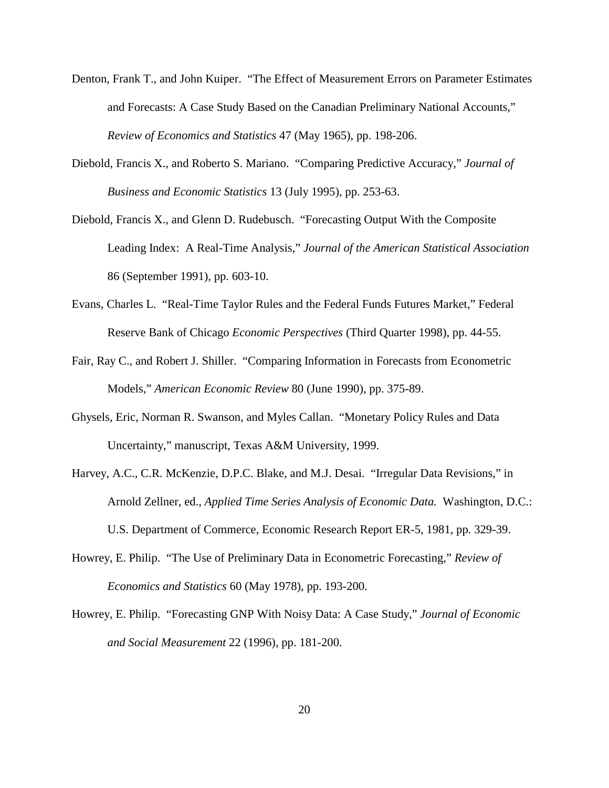- Denton, Frank T., and John Kuiper. "The Effect of Measurement Errors on Parameter Estimates and Forecasts: A Case Study Based on the Canadian Preliminary National Accounts," *Review of Economics and Statistics* 47 (May 1965), pp. 198-206.
- Diebold, Francis X., and Roberto S. Mariano. "Comparing Predictive Accuracy," *Journal of Business and Economic Statistics* 13 (July 1995), pp. 253-63.
- Diebold, Francis X., and Glenn D. Rudebusch. "Forecasting Output With the Composite Leading Index: A Real-Time Analysis," *Journal of the American Statistical Association* 86 (September 1991), pp. 603-10.
- Evans, Charles L. "Real-Time Taylor Rules and the Federal Funds Futures Market," Federal Reserve Bank of Chicago *Economic Perspectives* (Third Quarter 1998), pp. 44-55.
- Fair, Ray C., and Robert J. Shiller. "Comparing Information in Forecasts from Econometric Models," *American Economic Review* 80 (June 1990), pp. 375-89.
- Ghysels, Eric, Norman R. Swanson, and Myles Callan. "Monetary Policy Rules and Data Uncertainty," manuscript, Texas A&M University, 1999.
- Harvey, A.C., C.R. McKenzie, D.P.C. Blake, and M.J. Desai. "Irregular Data Revisions," in Arnold Zellner, ed., *Applied Time Series Analysis of Economic Data.* Washington, D.C.: U.S. Department of Commerce, Economic Research Report ER-5, 1981, pp. 329-39.
- Howrey, E. Philip. "The Use of Preliminary Data in Econometric Forecasting," *Review of Economics and Statistics* 60 (May 1978), pp. 193-200.
- Howrey, E. Philip. "Forecasting GNP With Noisy Data: A Case Study," *Journal of Economic and Social Measurement* 22 (1996), pp. 181-200.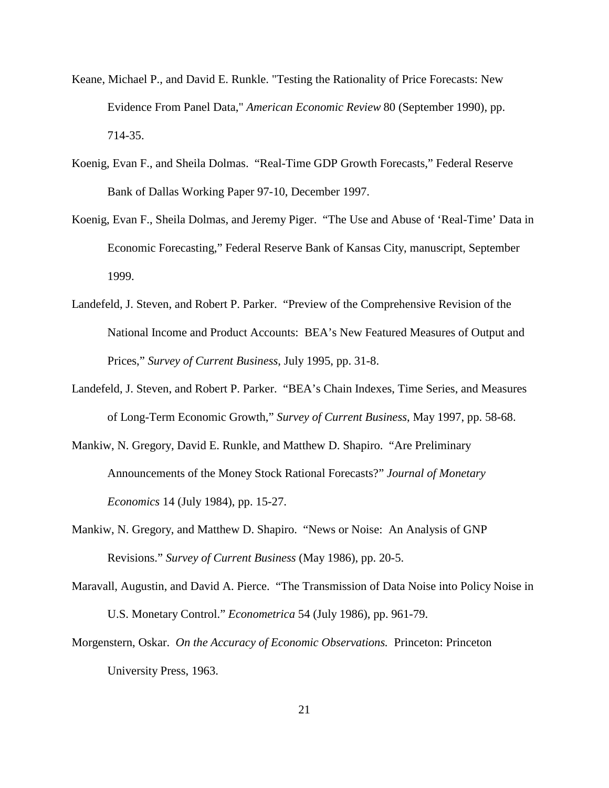- Keane, Michael P., and David E. Runkle. "Testing the Rationality of Price Forecasts: New Evidence From Panel Data," *American Economic Review* 80 (September 1990), pp. 714-35.
- Koenig, Evan F., and Sheila Dolmas. "Real-Time GDP Growth Forecasts," Federal Reserve Bank of Dallas Working Paper 97-10, December 1997.
- Koenig, Evan F., Sheila Dolmas, and Jeremy Piger. "The Use and Abuse of 'Real-Time' Data in Economic Forecasting," Federal Reserve Bank of Kansas City, manuscript, September 1999.
- Landefeld, J. Steven, and Robert P. Parker. "Preview of the Comprehensive Revision of the National Income and Product Accounts: BEA's New Featured Measures of Output and Prices," *Survey of Current Business*, July 1995, pp. 31-8.
- Landefeld, J. Steven, and Robert P. Parker. "BEA's Chain Indexes, Time Series, and Measures of Long-Term Economic Growth," *Survey of Current Business*, May 1997, pp. 58-68.
- Mankiw, N. Gregory, David E. Runkle, and Matthew D. Shapiro. "Are Preliminary Announcements of the Money Stock Rational Forecasts?" *Journal of Monetary Economics* 14 (July 1984), pp. 15-27.
- Mankiw, N. Gregory, and Matthew D. Shapiro. "News or Noise: An Analysis of GNP Revisions." *Survey of Current Business* (May 1986), pp. 20-5.
- Maravall, Augustin, and David A. Pierce. "The Transmission of Data Noise into Policy Noise in U.S. Monetary Control." *Econometrica* 54 (July 1986), pp. 961-79.
- Morgenstern, Oskar. *On the Accuracy of Economic Observations.* Princeton: Princeton University Press, 1963.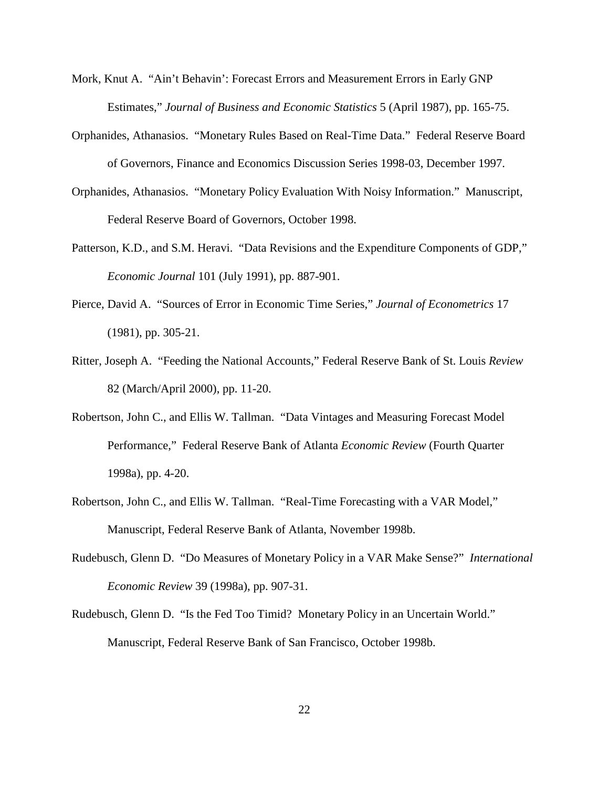- Mork, Knut A. "Ain't Behavin': Forecast Errors and Measurement Errors in Early GNP Estimates," *Journal of Business and Economic Statistics* 5 (April 1987), pp. 165-75.
- Orphanides, Athanasios. "Monetary Rules Based on Real-Time Data." Federal Reserve Board of Governors, Finance and Economics Discussion Series 1998-03, December 1997.
- Orphanides, Athanasios. "Monetary Policy Evaluation With Noisy Information." Manuscript, Federal Reserve Board of Governors, October 1998.
- Patterson, K.D., and S.M. Heravi. "Data Revisions and the Expenditure Components of GDP," *Economic Journal* 101 (July 1991), pp. 887-901.
- Pierce, David A. "Sources of Error in Economic Time Series," *Journal of Econometrics* 17 (1981), pp. 305-21.
- Ritter, Joseph A. "Feeding the National Accounts," Federal Reserve Bank of St. Louis *Review* 82 (March/April 2000), pp. 11-20.
- Robertson, John C., and Ellis W. Tallman. "Data Vintages and Measuring Forecast Model Performance," Federal Reserve Bank of Atlanta *Economic Review* (Fourth Quarter 1998a), pp. 4-20.
- Robertson, John C., and Ellis W. Tallman. "Real-Time Forecasting with a VAR Model," Manuscript, Federal Reserve Bank of Atlanta, November 1998b.
- Rudebusch, Glenn D. "Do Measures of Monetary Policy in a VAR Make Sense?" *International Economic Review* 39 (1998a), pp. 907-31.
- Rudebusch, Glenn D. "Is the Fed Too Timid? Monetary Policy in an Uncertain World." Manuscript, Federal Reserve Bank of San Francisco, October 1998b.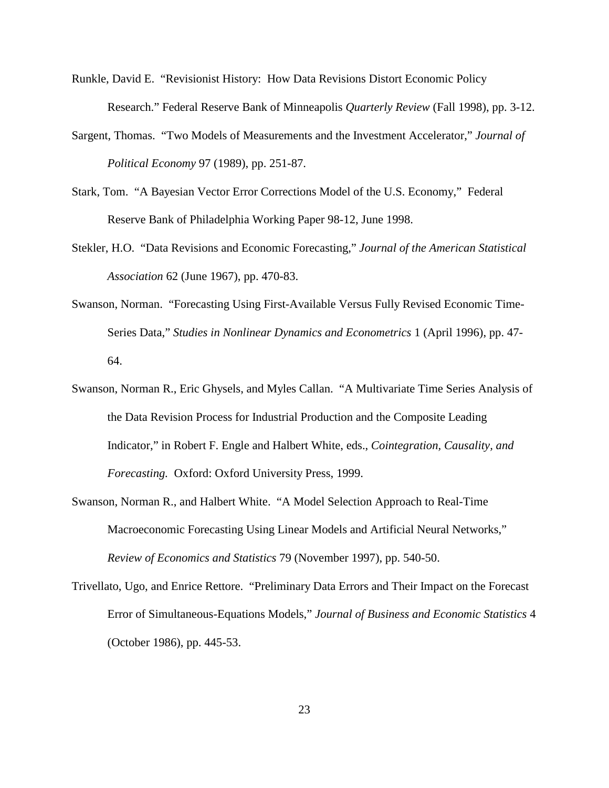- Runkle, David E. "Revisionist History: How Data Revisions Distort Economic Policy Research." Federal Reserve Bank of Minneapolis *Quarterly Review* (Fall 1998), pp. 3-12.
- Sargent, Thomas. "Two Models of Measurements and the Investment Accelerator," *Journal of Political Economy* 97 (1989), pp. 251-87.
- Stark, Tom. "A Bayesian Vector Error Corrections Model of the U.S. Economy," Federal Reserve Bank of Philadelphia Working Paper 98-12, June 1998.
- Stekler, H.O. "Data Revisions and Economic Forecasting," *Journal of the American Statistical Association* 62 (June 1967), pp. 470-83.
- Swanson, Norman. "Forecasting Using First-Available Versus Fully Revised Economic Time-Series Data," *Studies in Nonlinear Dynamics and Econometrics* 1 (April 1996), pp. 47- 64.
- Swanson, Norman R., Eric Ghysels, and Myles Callan. "A Multivariate Time Series Analysis of the Data Revision Process for Industrial Production and the Composite Leading Indicator," in Robert F. Engle and Halbert White, eds., *Cointegration, Causality, and Forecasting.* Oxford: Oxford University Press, 1999.
- Swanson, Norman R., and Halbert White. "A Model Selection Approach to Real-Time Macroeconomic Forecasting Using Linear Models and Artificial Neural Networks," *Review of Economics and Statistics* 79 (November 1997), pp. 540-50.
- Trivellato, Ugo, and Enrice Rettore. "Preliminary Data Errors and Their Impact on the Forecast Error of Simultaneous-Equations Models," *Journal of Business and Economic Statistics* 4 (October 1986), pp. 445-53.